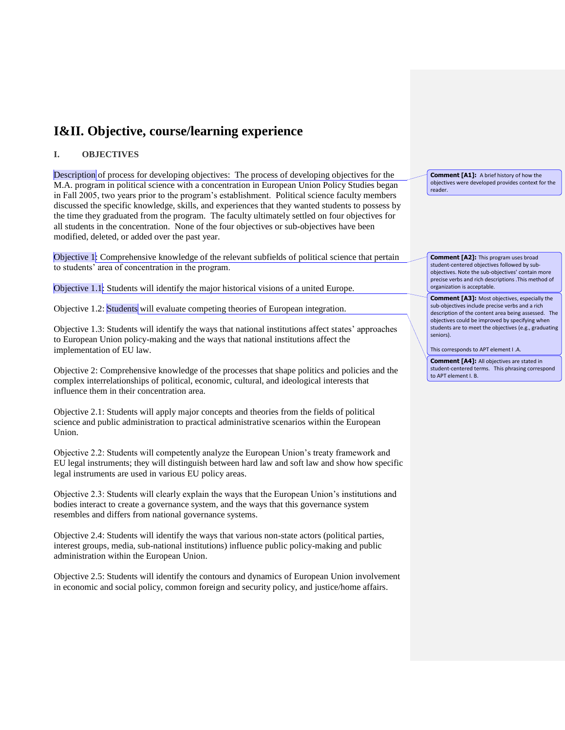# **I&II. Objective, course/learning experience**

### **I. OBJECTIVES**

Description of process for developing objectives: The process of developing objectives for the M.A. program in political science with a concentration in European Union Policy Studies began in Fall 2005, two years prior to the program's establishment. Political science faculty members discussed the specific knowledge, skills, and experiences that they wanted students to possess by the time they graduated from the program. The faculty ultimately settled on four objectives for all students in the concentration. None of the four objectives or sub-objectives have been modified, deleted, or added over the past year.

Objective 1: Comprehensive knowledge of the relevant subfields of political science that pertain to students' area of concentration in the program.

Objective 1.1: Students will identify the major historical visions of a united Europe.

Objective 1.2: Students will evaluate competing theories of European integration.

Objective 1.3: Students will identify the ways that national institutions affect states' approaches to European Union policy-making and the ways that national institutions affect the implementation of EU law.

Objective 2: Comprehensive knowledge of the processes that shape politics and policies and the complex interrelationships of political, economic, cultural, and ideological interests that influence them in their concentration area.

Objective 2.1: Students will apply major concepts and theories from the fields of political science and public administration to practical administrative scenarios within the European Union.

Objective 2.2: Students will competently analyze the European Union's treaty framework and EU legal instruments; they will distinguish between hard law and soft law and show how specific legal instruments are used in various EU policy areas.

Objective 2.3: Students will clearly explain the ways that the European Union's institutions and bodies interact to create a governance system, and the ways that this governance system resembles and differs from national governance systems.

Objective 2.4: Students will identify the ways that various non-state actors (political parties, interest groups, media, sub-national institutions) influence public policy-making and public administration within the European Union.

Objective 2.5: Students will identify the contours and dynamics of European Union involvement in economic and social policy, common foreign and security policy, and justice/home affairs.

**Comment [A1]:** A brief history of how the objectives were developed provides context for the reader.

**Comment [A2]:** This program uses broad student-centered objectives followed by subobjectives. Note the sub-objectives' contain more precise verbs and rich descriptions .This method of organization is acceptable.

**Comment [A3]:** Most objectives, especially the sub-objectives include precise verbs and a rich description of the content area being assessed. The objectives could be improved by specifying when students are to meet the objectives (e.g., graduating seniors).

This corresponds to APT element I .A.

**Comment [A4]:** All objectives are stated in student-centered terms. This phrasing correspond to APT element I. B.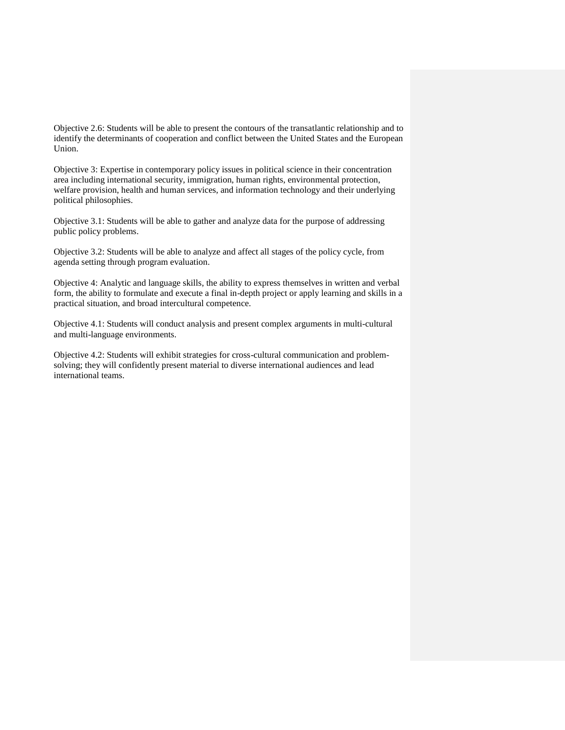Objective 2.6: Students will be able to present the contours of the transatlantic relationship and to identify the determinants of cooperation and conflict between the United States and the European Union.

Objective 3: Expertise in contemporary policy issues in political science in their concentration area including international security, immigration, human rights, environmental protection, welfare provision, health and human services, and information technology and their underlying political philosophies.

Objective 3.1: Students will be able to gather and analyze data for the purpose of addressing public policy problems.

Objective 3.2: Students will be able to analyze and affect all stages of the policy cycle, from agenda setting through program evaluation.

Objective 4: Analytic and language skills, the ability to express themselves in written and verbal form, the ability to formulate and execute a final in-depth project or apply learning and skills in a practical situation, and broad intercultural competence.

Objective 4.1: Students will conduct analysis and present complex arguments in multi-cultural and multi-language environments.

Objective 4.2: Students will exhibit strategies for cross-cultural communication and problemsolving; they will confidently present material to diverse international audiences and lead international teams.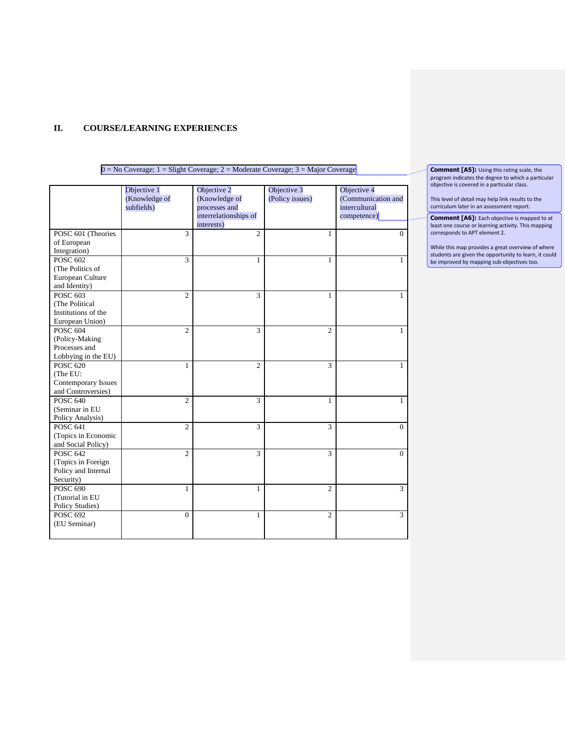### **II. COURSE/LEARNING EXPERIENCES**

#### $0 = No Coverage$ ;  $1 = Slight Coverage$ ;  $2 = Moderate Coverage$ ;  $3 = Major Coverage$ Objective 1 (Knowledge of subfields) Objective 2 (Knowledge of processes and interrelationships of interests) Objective 3 (Policy issues) Objective 4 (Communication and intercultural competence) POSC 601 (Theories of European Integration)  $3$  2 1 0 POSC 602 (The Politics of European Culture and Identity)  $3 \hspace{1.5cm} 1 \hspace{1.5cm} 1 \hspace{1.5cm} 1$ POSC 603 (The Political Institutions of the European Union) 2 3 1 1 1 POSC 604 (Policy-Making Processes and Lobbying in the EU) 2  $3$  2 1 POSC 620 (The EU: Contemporary Issues and Controversies) 1  $2$  3 1 POSC 640 (Seminar in EU Policy Analysis) 2  $3$  1 1 POSC 641 (Topics in Economic and Social Policy)  $2$  3 3 0 POSC 642 (Topics in Foreign Policy and Internal Security)  $2$  3 3 0 POSC 690 (Tutorial in EU Policy Studies) 1  $2$  3 POSC 692 (EU Seminar) 0 1 2 3

**Comment [A5]:** Using this rating scale, the program indicates the degree to which a particular objective is covered in a particular class.

This level of detail may help link results to the curriculum later in an assessment report.

**Comment [A6]:** Each objective is mapped to at least one course or learning activity. This mapping corresponds to APT element 2.

While this map provides a great overview of where students are given the opportunity to learn, it could be improved by mapping sub-objectives too.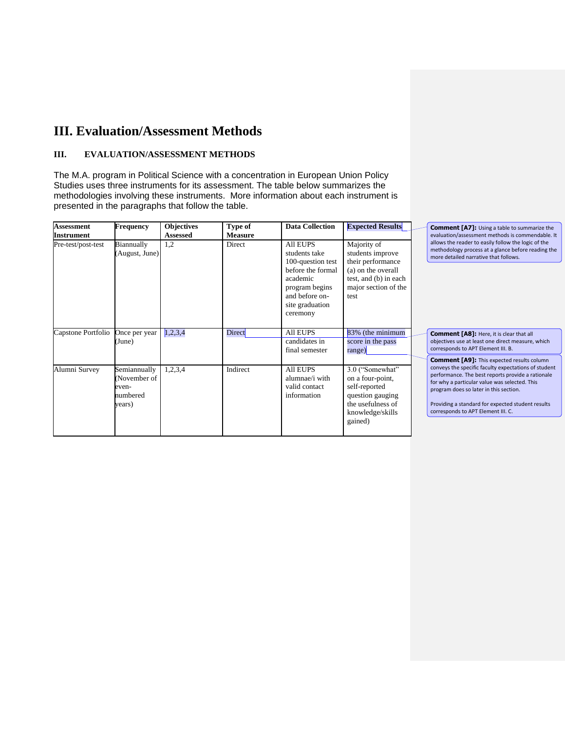# **III. Evaluation/Assessment Methods**

### **III. EVALUATION/ASSESSMENT METHODS**

The M.A. program in Political Science with a concentration in European Union Policy Studies uses three instruments for its assessment. The table below summarizes the methodologies involving these instruments. More information about each instrument is presented in the paragraphs that follow the table.

| <b>Assessment</b><br><b>Instrument</b> | <b>Frequency</b>                                           | <b>Objectives</b><br><b>Assessed</b> | Type of<br><b>Measure</b> | <b>Data Collection</b>                                                                                                                                    | <b>Expected Results</b>                                                                                                             | Comment [A7]: Using a<br>evaluation/assessment me                                                                                                                                                                |
|----------------------------------------|------------------------------------------------------------|--------------------------------------|---------------------------|-----------------------------------------------------------------------------------------------------------------------------------------------------------|-------------------------------------------------------------------------------------------------------------------------------------|------------------------------------------------------------------------------------------------------------------------------------------------------------------------------------------------------------------|
| Pre-test/post-test                     | Biannually<br>August, June)                                | 1,2                                  | Direct                    | <b>All EUPS</b><br>students take<br>100-question test<br>before the formal<br>academic<br>program begins<br>and before on-<br>site graduation<br>ceremony | Majority of<br>students improve<br>their performance<br>(a) on the overall<br>test, and (b) in each<br>major section of the<br>test | allows the reader to easily<br>methodology process at a<br>more detailed narrative th                                                                                                                            |
| Capstone Portfolio                     | Once per year<br>(June)                                    | 1,2,3,4                              | Direct                    | <b>All EUPS</b><br>candidates in<br>final semester                                                                                                        | 83% (the minimum<br>score in the pass<br>range)                                                                                     | Comment [A8]: Here, i<br>objectives use at least one<br>corresponds to APT Eleme                                                                                                                                 |
| Alumni Survey                          | Semiannually<br>November of<br>even-<br>numbered<br>years) | 1,2,3,4                              | Indirect                  | <b>All EUPS</b><br>alumnae/i with<br>valid contact<br>information                                                                                         | 3.0 ("Somewhat"<br>on a four-point,<br>self-reported<br>question gauging<br>the usefulness of<br>knowledge/skills<br>gained)        | <b>Comment [A9]: This ex</b><br>conveys the specific facult<br>performance. The best rep<br>for why a particular value<br>program does so later in tl<br>Providing a standard for e:<br>corresponds to APT Eleme |

a table to summarize the ethods is commendable. It follow the logic of the glance before reading the at follows.

**Communist is clear that all** direct measure, which nt III. B.

**Communder** *Column* .<br>y expectations of student .<br>ports provide a rationale was selected. This nis section.

xpected student results  $\overline{\mathsf{nt}}$  III. C.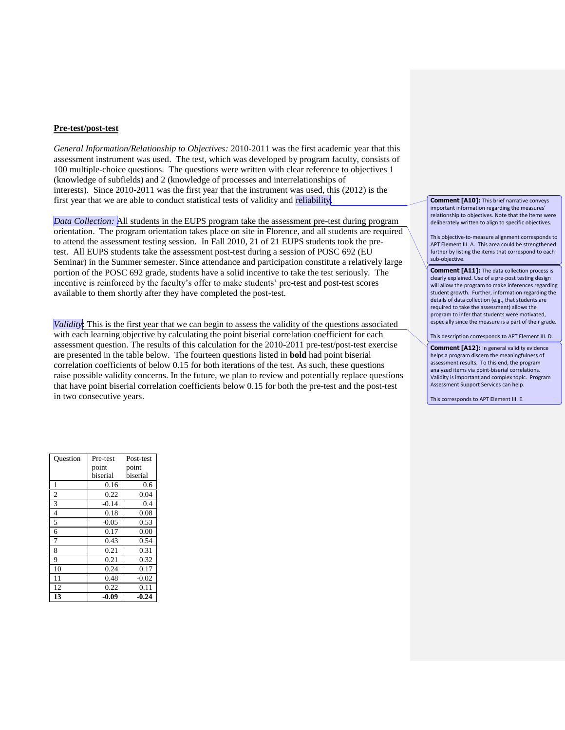#### **Pre-test/post-test**

*General Information/Relationship to Objectives:* 2010-2011 was the first academic year that this assessment instrument was used. The test, which was developed by program faculty, consists of 100 multiple-choice questions. The questions were written with clear reference to objectives 1 (knowledge of subfields) and 2 (knowledge of processes and interrelationships of interests). Since 2010-2011 was the first year that the instrument was used, this (2012) is the first year that we are able to conduct statistical tests of validity and reliability.

*Data Collection:* All students in the EUPS program take the assessment pre-test during program orientation. The program orientation takes place on site in Florence, and all students are required to attend the assessment testing session. In Fall 2010, 21 of 21 EUPS students took the pretest. All EUPS students take the assessment post-test during a session of POSC 692 (EU Seminar) in the Summer semester. Since attendance and participation constitute a relatively large portion of the POSC 692 grade, students have a solid incentive to take the test seriously. The incentive is reinforced by the faculty's offer to make students' pre-test and post-test scores available to them shortly after they have completed the post-test.

*Validity*: This is the first year that we can begin to assess the validity of the questions associated with each learning objective by calculating the point biserial correlation coefficient for each assessment question. The results of this calculation for the 2010-2011 pre-test/post-test exercise are presented in the table below. The fourteen questions listed in **bold** had point biserial correlation coefficients of below 0.15 for both iterations of the test. As such, these questions raise possible validity concerns. In the future, we plan to review and potentially replace questions that have point biserial correlation coefficients below 0.15 for both the pre-test and the post-test in two consecutive years.

**Comment [A10]:** This brief narrative conveys important information regarding the measures' relationship to objectives. Note that the items were deliberately written to align to specific objectives.

This objective-to-measure alignment corresponds to APT Element III. A. This area could be strengthened further by listing the items that correspond to each sub-objective.

**Comment [A11]:** The data collection process is clearly explained. Use of a pre-post testing design will allow the program to make inferences regarding student growth. Further, information regarding the details of data collection (e.g., that students are required to take the assessment) allows the program to infer that students were motivated, especially since the measure is a part of their grade.

This description corresponds to APT Element III. D.

**Comment [A12]:** In general validity evidence helps a program discern the meaningfulness of assessment results. To this end, the program analyzed items via point-biserial correlations. Validity is important and complex topic. Program Assessment Support Services can help.

This corresponds to APT Element III. E.

| Ouestion       | Pre-test | Post-test |
|----------------|----------|-----------|
|                | point    | point     |
|                | biserial | biserial  |
| 1              | 0.16     | 0.6       |
| $\overline{2}$ | 0.22     | 0.04      |
| 3              | $-0.14$  | 0.4       |
| $\overline{4}$ | 0.18     | 0.08      |
| 5              | $-0.05$  | 0.53      |
| 6              | 0.17     | 0.00      |
| 7              | 0.43     | 0.54      |
| 8              | 0.21     | 0.31      |
| 9              | 0.21     | 0.32      |
| 10             | 0.24     | 0.17      |
| 11             | 0.48     | $-0.02$   |
| 12             | 0.22     | 0.11      |
| 13             | $-0.09$  | -0.24     |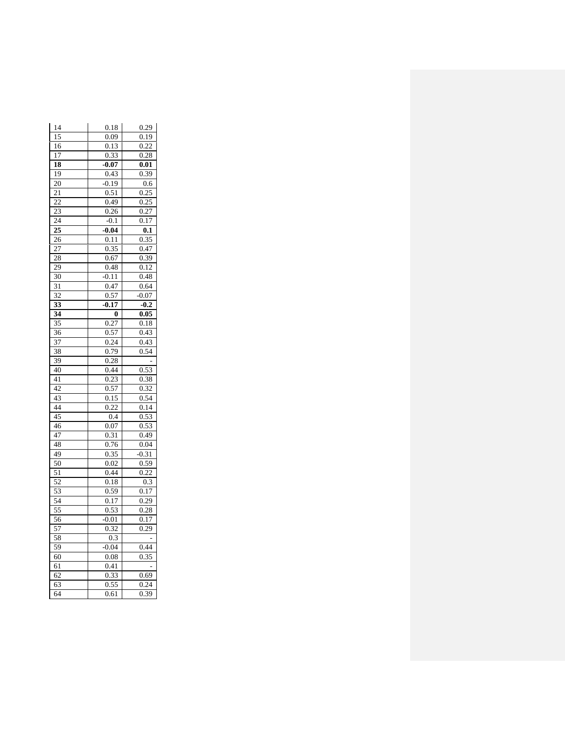| 14              | 0.18    | 0.29                       |
|-----------------|---------|----------------------------|
| 15              | 0.09    | 0.19                       |
| 16              | 0.13    | 0.22                       |
| 17              | 0.33    | 0.28                       |
| 18              | $-0.07$ | 0.01                       |
| 19              | 0.43    | 0.39                       |
| 20              | $-0.19$ | 0.6                        |
| 21              | 0.51    | 0.25                       |
| 22              | 0.49    | 0.25                       |
| $2\overline{3}$ | 0.26    | 0.27                       |
| 24              | $-0.1$  | 0.17                       |
| 25              | $-0.04$ | $\overline{\mathbf{0}}$ .1 |
| 26              | 0.11    | 0.35                       |
| 27              | 0.35    | 0.47                       |
| 28              | 0.67    | 0.39                       |
| 29              | 0.48    | 0.12                       |
| 30              | $-0.11$ | 0.48                       |
| 31              | 0.47    | 0.64                       |
| 32              | 0.57    | 0.07                       |
| 33              | $-0.17$ | $-0.2$                     |
| 34              | 0       | 0.05                       |
| 35              | 0.27    | 0.18                       |
| 36              | 0.57    | 0.43                       |
| 37              | 0.24    | 0.43                       |
| 38              | 0.79    | 0.54                       |
| 39              | 0.28    |                            |
| 40              | 0.44    | 0.53                       |
| 41              | 0.23    | 0.38                       |
| 42              | 0.57    | $0.\overline{32}$          |
| 43              | 0.15    | 0.54                       |
| 44              | 0.22    | 0.14                       |
| 45              | 0.4     | 0.53                       |
| 46              | 0.07    | 0.53                       |
| 47              | 0.31    | 0.49                       |
| 48              | 0.76    | 0.04                       |
| 49              | 0.35    | $-0.31$                    |
| $\overline{50}$ | 0.02    | 0.59                       |
| 51              | 0.44    | $_{0.22}$                  |
| 52              | 0.18    | 0.3                        |
| 53              | 0.59    | $_{0.17}$                  |
| 54              | 0.17    | 0.29                       |
| 55              | 0.53    | 0.28                       |
| 56              | $-0.01$ | 0.17                       |
| 57              | 0.32    | 0.29                       |
| 58              | 0.3     |                            |
| 59              | 0.04    | 0.44                       |
| 60              | 0.08    | 0.35                       |
| 61              | 0.41    |                            |
| 62              | 0.33    | 0.69                       |
| 63              | 0.55    | 0.24                       |
| 64              | 0.61    | 0.39                       |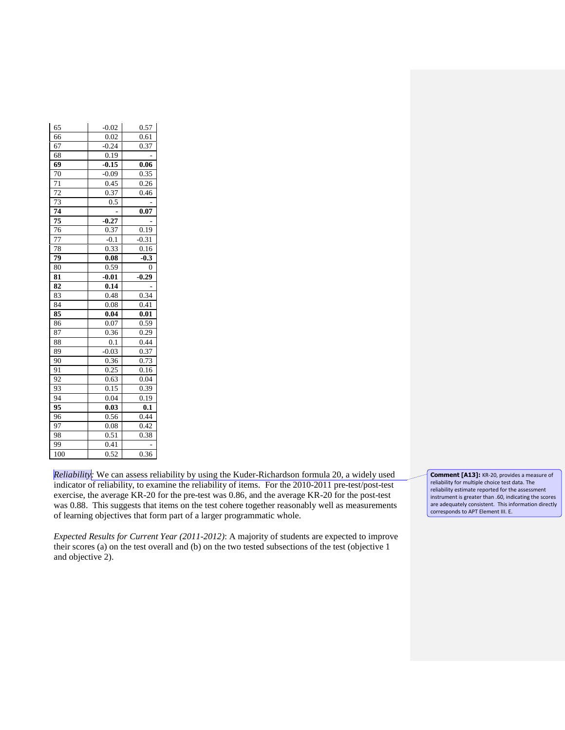| 65              | $-0.02$ | 0.57             |
|-----------------|---------|------------------|
| 66              | 0.02    | 0.61             |
| 67              | $-0.24$ | 0.37             |
| 68              | 0.19    |                  |
| 69              | $-0.15$ | 0.06             |
| 70              | $-0.09$ | 0.35             |
| 71              | 0.45    | 0.26             |
| 72              | 0.37    | 0.46             |
| 73              | 0.5     |                  |
| 74              |         | 0.07             |
| $\overline{75}$ | $-0.27$ |                  |
| 76              | 0.37    | 0.19             |
| 77              | $-0.1$  | $-0.31$          |
| 78              | 0.33    | 0.16             |
| 79              | 0.08    | $-0.3$           |
| 80              | 0.59    | 0                |
| 81              | $-0.01$ | $-0.29$          |
| 82              | 0.14    |                  |
| 83              | 0.48    | 0.34             |
| 84              | 0.08    | 0.41             |
| 85              | 0.04    | 0.01             |
| 86              | 0.07    | 0.59             |
| 87              | 0.36    | 0.29             |
| 88              | 0.1     | 0.44             |
| 89              | $-0.03$ | 0.37             |
| 90              | 0.36    | 0.73             |
| 91              | 0.25    | 0.16             |
| 92              | 0.63    | 0.04             |
| 93              | 0.15    | 0.39             |
| 94              | 0.04    | 0.19             |
| 95              | 0.03    | $0.\overline{1}$ |
| 96              | 0.56    | 0.44             |
| 97              | 0.08    | 0.42             |
| 98              | 0.51    | 0.38             |
| 99              | 0.41    |                  |
| 100             | 0.52    | 0.36             |

*Reliability:* We can assess reliability by using the Kuder-Richardson formula 20, a widely used indicator of reliability, to examine the reliability of items. For the 2010-2011 pre-test/post-test exercise, the average KR-20 for the pre-test was 0.86, and the average KR-20 for the post-test was 0.88. This suggests that items on the test cohere together reasonably well as measurements of learning objectives that form part of a larger programmatic whole.

*Expected Results for Current Year (2011-2012)*: A majority of students are expected to improve their scores (a) on the test overall and (b) on the two tested subsections of the test (objective 1 and objective 2).

**Comment [A13]:** KR-20, provides a measure of reliability for multiple choice test data. The reliability estimate reported for the assessment instrument is greater than .60, indicating the scores are adequately consistent. This information directly corresponds to APT Element III. E.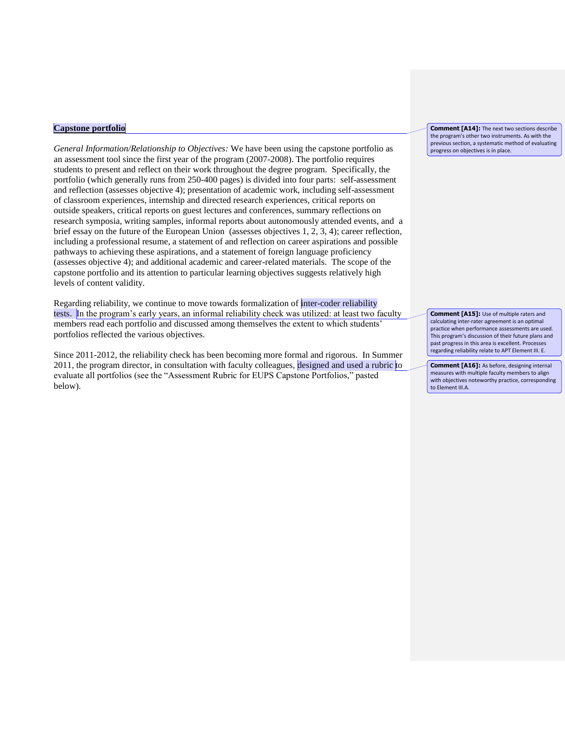#### **Capstone portfolio**

*General Information/Relationship to Objectives:* We have been using the capstone portfolio as an assessment tool since the first year of the program (2007-2008). The portfolio requires students to present and reflect on their work throughout the degree program. Specifically, the portfolio (which generally runs from 250-400 pages) is divided into four parts: self-assessment and reflection (assesses objective 4); presentation of academic work, including self-assessment of classroom experiences, internship and directed research experiences, critical reports on outside speakers, critical reports on guest lectures and conferences, summary reflections on research symposia, writing samples, informal reports about autonomously attended events, and a brief essay on the future of the European Union (assesses objectives 1, 2, 3, 4); career reflection, including a professional resume, a statement of and reflection on career aspirations and possible pathways to achieving these aspirations, and a statement of foreign language proficiency (assesses objective 4); and additional academic and career-related materials. The scope of the capstone portfolio and its attention to particular learning objectives suggests relatively high levels of content validity.

Regarding reliability, we continue to move towards formalization of inter-coder reliability tests. In the program's early years, an informal reliability check was utilized: at least two faculty members read each portfolio and discussed among themselves the extent to which students' portfolios reflected the various objectives.

Since 2011-2012, the reliability check has been becoming more formal and rigorous. In Summer 2011, the program director, in consultation with faculty colleagues, designed and used a rubric to evaluate all portfolios (see the "Assessment Rubric for EUPS Capstone Portfolios," pasted below).

**Comment [A14]:** The next two sections describe the program's other two instruments. As with the previous section, a systematic method of evaluating progress on objectives is in place.

**Comment [A15]:** Use of multiple raters and calculating inter-rater agreement is an optimal practice when performance assessments are used. This program's discussion of their future plans and past progress in this area is excellent. Processes regarding reliability relate to APT Element III. E.

**Comment [A16]:** As before, designing internal measures with multiple faculty members to align with objectives noteworthy practice, corresponding to Element III.A.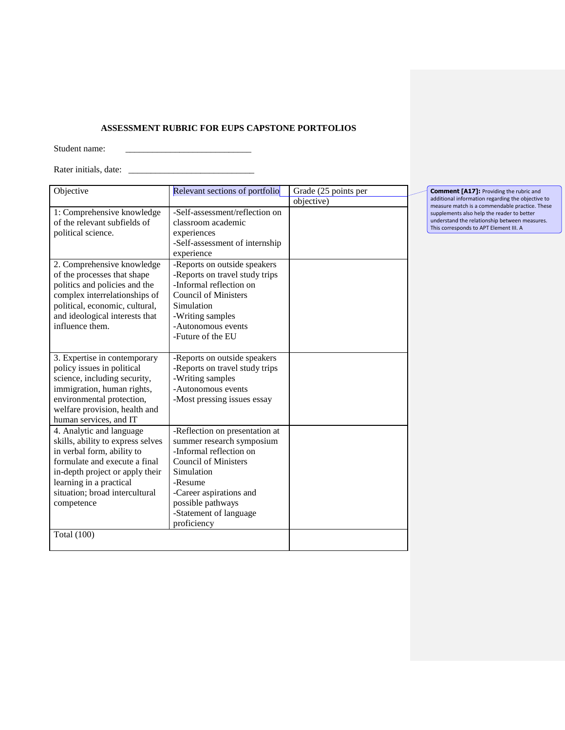### **ASSESSMENT RUBRIC FOR EUPS CAPSTONE PORTFOLIOS**

Student name: \_\_\_\_\_\_\_\_\_\_\_\_\_\_\_\_\_\_\_\_\_\_\_\_\_\_\_\_

Rater initials, date: \_\_\_\_\_\_\_\_\_\_\_\_\_\_\_\_\_\_\_\_\_\_\_\_\_\_\_\_

| Objective                                                                                                                                                                                                                                  | Relevant sections of portfolio                                                                                                                                                                                                          | Grade (25 points per |
|--------------------------------------------------------------------------------------------------------------------------------------------------------------------------------------------------------------------------------------------|-----------------------------------------------------------------------------------------------------------------------------------------------------------------------------------------------------------------------------------------|----------------------|
|                                                                                                                                                                                                                                            |                                                                                                                                                                                                                                         | objective)           |
| 1: Comprehensive knowledge<br>of the relevant subfields of<br>political science.                                                                                                                                                           | -Self-assessment/reflection on<br>classroom academic<br>experiences<br>-Self-assessment of internship<br>experience                                                                                                                     |                      |
| 2. Comprehensive knowledge<br>of the processes that shape<br>politics and policies and the<br>complex interrelationships of<br>political, economic, cultural,<br>and ideological interests that<br>influence them.                         | -Reports on outside speakers<br>-Reports on travel study trips<br>-Informal reflection on<br><b>Council of Ministers</b><br>Simulation<br>-Writing samples<br>-Autonomous events<br>-Future of the EU                                   |                      |
| 3. Expertise in contemporary<br>policy issues in political<br>science, including security,<br>immigration, human rights,<br>environmental protection,<br>welfare provision, health and<br>human services, and IT                           | -Reports on outside speakers<br>-Reports on travel study trips<br>-Writing samples<br>-Autonomous events<br>-Most pressing issues essay                                                                                                 |                      |
| 4. Analytic and language<br>skills, ability to express selves<br>in verbal form, ability to<br>formulate and execute a final<br>in-depth project or apply their<br>learning in a practical<br>situation; broad intercultural<br>competence | -Reflection on presentation at<br>summer research symposium<br>-Informal reflection on<br><b>Council of Ministers</b><br>Simulation<br>-Resume<br>-Career aspirations and<br>possible pathways<br>-Statement of language<br>proficiency |                      |
| <b>Total</b> (100)                                                                                                                                                                                                                         |                                                                                                                                                                                                                                         |                      |

**Comment [A17]:** Providing the rubric and<br>additional information regarding the objective to<br>measure match is a commendable practice. These<br>supplements also help the reader to better<br>understand the relationship between meas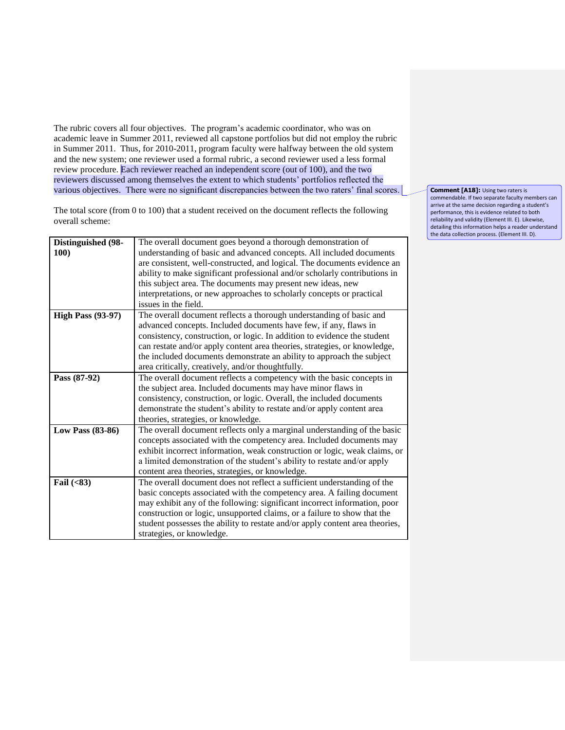The rubric covers all four objectives. The program's academic coordinator, who was on academic leave in Summer 2011, reviewed all capstone portfolios but did not employ the rubric in Summer 2011. Thus, for 2010-2011, program faculty were halfway between the old system and the new system; one reviewer used a formal rubric, a second reviewer used a less formal review procedure. Each reviewer reached an independent score (out of 100), and the two reviewers discussed among themselves the extent to which students' portfolios reflected the various objectives. There were no significant discrepancies between the two raters' final scores.

The total score (from 0 to 100) that a student received on the document reflects the following overall scheme:

| Distinguished (98-<br>100) | The overall document goes beyond a thorough demonstration of<br>understanding of basic and advanced concepts. All included documents<br>are consistent, well-constructed, and logical. The documents evidence an<br>ability to make significant professional and/or scholarly contributions in<br>this subject area. The documents may present new ideas, new<br>interpretations, or new approaches to scholarly concepts or practical<br>issues in the field. |
|----------------------------|----------------------------------------------------------------------------------------------------------------------------------------------------------------------------------------------------------------------------------------------------------------------------------------------------------------------------------------------------------------------------------------------------------------------------------------------------------------|
| <b>High Pass (93-97)</b>   | The overall document reflects a thorough understanding of basic and<br>advanced concepts. Included documents have few, if any, flaws in<br>consistency, construction, or logic. In addition to evidence the student<br>can restate and/or apply content area theories, strategies, or knowledge,<br>the included documents demonstrate an ability to approach the subject<br>area critically, creatively, and/or thoughtfully.                                 |
| Pass (87-92)               | The overall document reflects a competency with the basic concepts in<br>the subject area. Included documents may have minor flaws in<br>consistency, construction, or logic. Overall, the included documents<br>demonstrate the student's ability to restate and/or apply content area<br>theories, strategies, or knowledge.                                                                                                                                 |
| Low Pass (83-86)           | The overall document reflects only a marginal understanding of the basic<br>concepts associated with the competency area. Included documents may<br>exhibit incorrect information, weak construction or logic, weak claims, or<br>a limited demonstration of the student's ability to restate and/or apply<br>content area theories, strategies, or knowledge.                                                                                                 |
| Fail $(83)$                | The overall document does not reflect a sufficient understanding of the<br>basic concepts associated with the competency area. A failing document<br>may exhibit any of the following: significant incorrect information, poor<br>construction or logic, unsupported claims, or a failure to show that the<br>student possesses the ability to restate and/or apply content area theories,<br>strategies, or knowledge.                                        |

**Comment [A18]: Using two raters is** commendable. If two separate faculty members can arrive at the same decision regarding a student's performance, this is evidence related to both reliability and validity (Element III. E). Likewise, detailing this information helps a reader understand the data collection process. (Element III. D).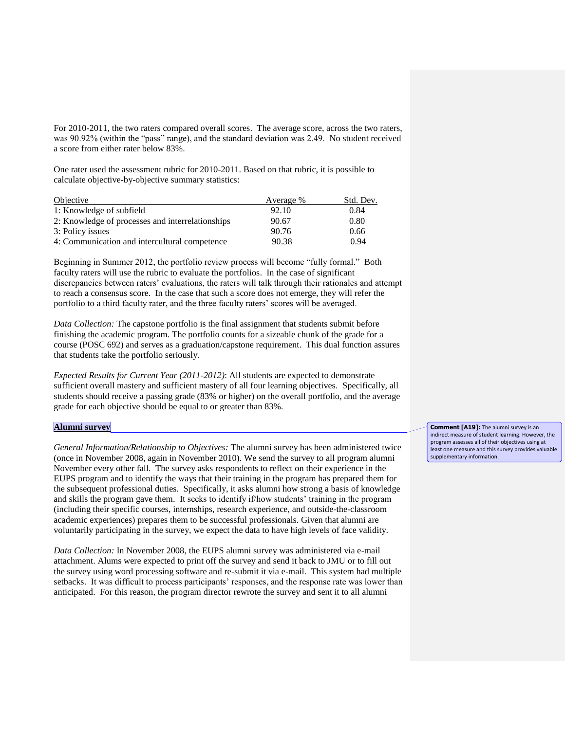For 2010-2011, the two raters compared overall scores. The average score, across the two raters, was 90.92% (within the "pass" range), and the standard deviation was 2.49. No student received a score from either rater below 83%.

One rater used the assessment rubric for 2010-2011. Based on that rubric, it is possible to calculate objective-by-objective summary statistics:

| Objective                                        | Average % | Std. Dev. |
|--------------------------------------------------|-----------|-----------|
| 1: Knowledge of subfield                         | 92.10     | 0.84      |
| 2: Knowledge of processes and interrelationships | 90.67     | 0.80      |
| 3: Policy issues                                 | 90.76     | 0.66      |
| 4: Communication and intercultural competence    | 90.38     | 0.94      |

Beginning in Summer 2012, the portfolio review process will become "fully formal." Both faculty raters will use the rubric to evaluate the portfolios. In the case of significant discrepancies between raters' evaluations, the raters will talk through their rationales and attempt to reach a consensus score. In the case that such a score does not emerge, they will refer the portfolio to a third faculty rater, and the three faculty raters' scores will be averaged.

*Data Collection:* The capstone portfolio is the final assignment that students submit before finishing the academic program. The portfolio counts for a sizeable chunk of the grade for a course (POSC 692) and serves as a graduation/capstone requirement. This dual function assures that students take the portfolio seriously.

*Expected Results for Current Year (2011-2012)*: All students are expected to demonstrate sufficient overall mastery and sufficient mastery of all four learning objectives. Specifically, all students should receive a passing grade (83% or higher) on the overall portfolio, and the average grade for each objective should be equal to or greater than 83%.

#### **Alumni survey**

*General Information/Relationship to Objectives:* The alumni survey has been administered twice (once in November 2008, again in November 2010). We send the survey to all program alumni November every other fall. The survey asks respondents to reflect on their experience in the EUPS program and to identify the ways that their training in the program has prepared them for the subsequent professional duties. Specifically, it asks alumni how strong a basis of knowledge and skills the program gave them. It seeks to identify if/how students' training in the program (including their specific courses, internships, research experience, and outside-the-classroom academic experiences) prepares them to be successful professionals. Given that alumni are voluntarily participating in the survey, we expect the data to have high levels of face validity.

*Data Collection:* In November 2008, the EUPS alumni survey was administered via e-mail attachment. Alums were expected to print off the survey and send it back to JMU or to fill out the survey using word processing software and re-submit it via e-mail. This system had multiple setbacks. It was difficult to process participants' responses, and the response rate was lower than anticipated. For this reason, the program director rewrote the survey and sent it to all alumni

**Comment [A19]:** The alumni survey is an indirect measure of student learning. However, the program assesses all of their objectives using at least one measure and this survey provides valuable supplementary information.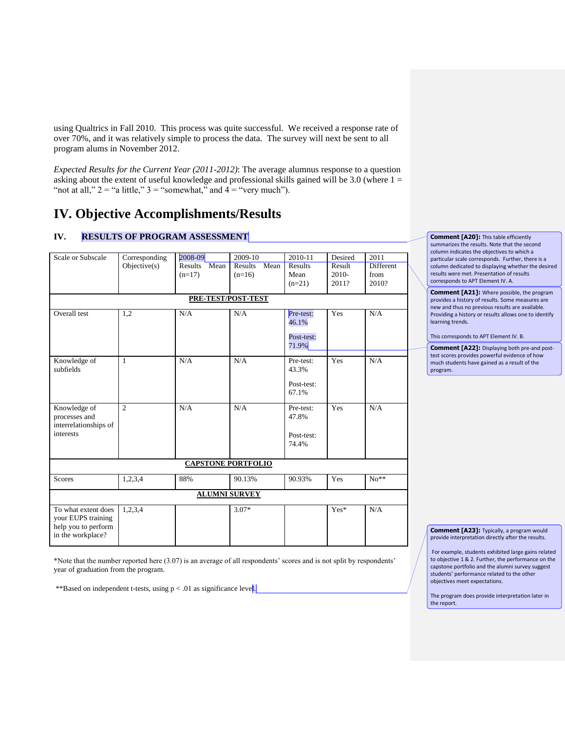using Qualtrics in Fall 2010. This process was quite successful. We received a response rate of over 70%, and it was relatively simple to process the data. The survey will next be sent to all program alums in November 2012.

*Expected Results for the Current Year (2011-2012)*: The average alumnus response to a question asking about the extent of useful knowledge and professional skills gained will be 3.0 (where  $1 =$ "not at all,"  $2 =$  "a little,"  $3 =$  "somewhat," and  $4 =$  "very much").

## **IV. Objective Accomplishments/Results**

### **IV. RESULTS OF PROGRAM ASSESSMENT**

| Scale or Subscale             | Corresponding  | 2008-09                   | 2009-10         | 2010-11             | Desired | 2011             |
|-------------------------------|----------------|---------------------------|-----------------|---------------------|---------|------------------|
|                               | Objective(s)   | Mean<br>Results           | Mean<br>Results | Results             | Result  | <b>Different</b> |
|                               |                | $(n=17)$                  | $(n=16)$        | Mean                | $2010-$ | from             |
|                               |                |                           |                 | $(n=21)$            | 2011?   | 2010?            |
|                               |                |                           |                 |                     |         |                  |
|                               |                | PRE-TEST/POST-TEST        |                 |                     |         |                  |
| Overall test                  | 1,2            | N/A                       | N/A             | Pre-test:<br>46.1%  | Yes     | N/A              |
|                               |                |                           |                 |                     |         |                  |
|                               |                |                           |                 | Post-test:<br>71.9% |         |                  |
|                               |                |                           |                 |                     |         |                  |
| Knowledge of<br>subfields     | 1              | N/A                       | N/A             | Pre-test:<br>43.3%  | Yes     | N/A              |
|                               |                |                           |                 |                     |         |                  |
|                               |                |                           |                 | Post-test:          |         |                  |
|                               |                |                           |                 | 67.1%               |         |                  |
| Knowledge of<br>processes and | $\overline{c}$ | N/A                       | N/A             | Pre-test:<br>47.8%  | Yes     | N/A              |
|                               |                |                           |                 |                     |         |                  |
| interrelationships of         |                |                           |                 |                     |         |                  |
| interests                     |                |                           |                 | Post-test:          |         |                  |
|                               |                |                           |                 | 74.4%               |         |                  |
|                               |                | <b>CAPSTONE PORTFOLIO</b> |                 |                     |         |                  |
|                               |                |                           |                 |                     |         |                  |
| <b>Scores</b>                 | 1,2,3,4        | 88%                       | 90.13%          | 90.93%              | Yes     | $No**$           |
| <b>ALUMNI SURVEY</b>          |                |                           |                 |                     |         |                  |
| To what extent does           | 1,2,3,4        |                           | $3.07*$         |                     | $Yes*$  | N/A              |
| your EUPS training            |                |                           |                 |                     |         |                  |
| help you to perform           |                |                           |                 |                     |         |                  |
| in the workplace?             |                |                           |                 |                     |         |                  |
|                               |                |                           |                 |                     |         |                  |

\*Note that the number reported here (3.07) is an average of all respondents' scores and is not split by respondents' year of graduation from the program.

\*\*Based on independent t-tests, using p < .01 as significance level.

#### **Comment [A20]:** This table efficiently summarizes the results. Note that the second column indicates the objectives to which a particular scale corresponds. Further, there is a column dedicated to displaying whether the desired results were met. Presentation of results corresponds to APT Element IV. A.

**Comment [A21]:** Where possible, the program provides a history of results. Some measures are new and thus no previous results are available. Providing a history or results allows one to identify learning trends.

This corresponds to APT Element IV. B.

**Comment [A22]:** Displaying both pre-and posttest scores provides powerful evidence of how much students have gained as a result of the program.

**Comment [A23]:** Typically, a program would provide interpretation directly after the results.

For example, students exhibited large gains related to objective 1 & 2. Further, the performance on the capstone portfolio and the alumni survey suggest students' performance related to the other objectives meet expectations.

The program does provide interpretation later in the report.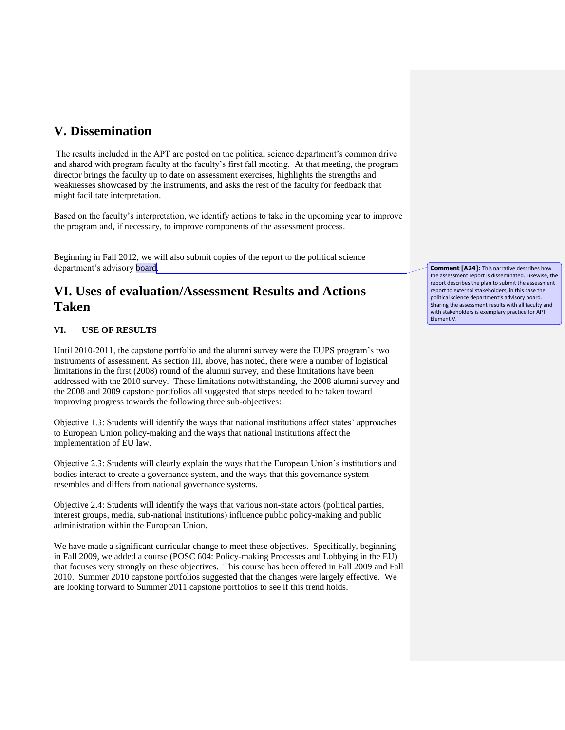# **V. Dissemination**

The results included in the APT are posted on the political science department's common drive and shared with program faculty at the faculty's first fall meeting. At that meeting, the program director brings the faculty up to date on assessment exercises, highlights the strengths and weaknesses showcased by the instruments, and asks the rest of the faculty for feedback that might facilitate interpretation.

Based on the faculty's interpretation, we identify actions to take in the upcoming year to improve the program and, if necessary, to improve components of the assessment process.

Beginning in Fall 2012, we will also submit copies of the report to the political science department's advisory board.

## **VI. Uses of evaluation/Assessment Results and Actions Taken**

### **VI. USE OF RESULTS**

Until 2010-2011, the capstone portfolio and the alumni survey were the EUPS program's two instruments of assessment. As section III, above, has noted, there were a number of logistical limitations in the first (2008) round of the alumni survey, and these limitations have been addressed with the 2010 survey. These limitations notwithstanding, the 2008 alumni survey and the 2008 and 2009 capstone portfolios all suggested that steps needed to be taken toward improving progress towards the following three sub-objectives:

Objective 1.3: Students will identify the ways that national institutions affect states' approaches to European Union policy-making and the ways that national institutions affect the implementation of EU law.

Objective 2.3: Students will clearly explain the ways that the European Union's institutions and bodies interact to create a governance system, and the ways that this governance system resembles and differs from national governance systems.

Objective 2.4: Students will identify the ways that various non-state actors (political parties, interest groups, media, sub-national institutions) influence public policy-making and public administration within the European Union.

We have made a significant curricular change to meet these objectives. Specifically, beginning in Fall 2009, we added a course (POSC 604: Policy-making Processes and Lobbying in the EU) that focuses very strongly on these objectives. This course has been offered in Fall 2009 and Fall 2010. Summer 2010 capstone portfolios suggested that the changes were largely effective. We are looking forward to Summer 2011 capstone portfolios to see if this trend holds.

**Comment [A24]:** This narrative describes how the assessment report is disseminated. Likewise, the report describes the plan to submit the assessment report to external stakeholders, in this case the political science department's advisory board. Sharing the assessment results with all faculty and with stakeholders is exemplary practice for APT Element V.